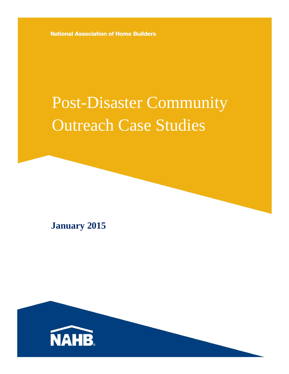**National Association of Home Builders** 

# Post-Disaster Community Outreach Case Studies

**January 2015**

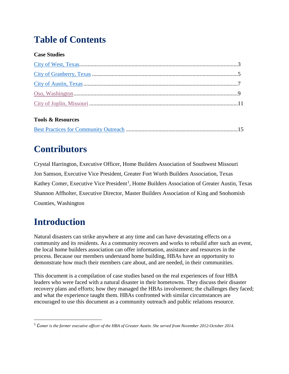### **Table of Contents**

#### **Case Studies**

#### **Tools & Resources**

### **Contributors**

Crystal Harrington, Executive Officer, Home Builders Association of Southwest Missouri Jon Samson, Executive Vice President, Greater Fort Worth Builders Association, Texas Kathey Comer, Executive Vice President<sup>[1](#page-1-0)</sup>, Home Builders Association of Greater Austin, Texas Shannon Affholter, Executive Director, Master Builders Association of King and Snohomish Counties, Washington

### **Introduction**

 $\overline{\phantom{a}}$ 

Natural disasters can strike anywhere at any time and can have devastating effects on a community and its residents. As a community recovers and works to rebuild after such an event, the local home builders association can offer information, assistance and resources in the process. Because our members understand home building, HBAs have an opportunity to demonstrate how much their members care about, and are needed, in their communities.

This document is a compilation of case studies based on the real experiences of four HBA leaders who were faced with a natural disaster in their hometowns. They discuss their disaster recovery plans and efforts; how they managed the HBAs involvement; the challenges they faced; and what the experience taught them. HBAs confronted with similar circumstances are encouraged to use this document as a community outreach and public relations resource.

<span id="page-1-0"></span><sup>1</sup> *Comer is the former executive officer of the HBA of Greater Austin. She served from November 2012-October 2014.*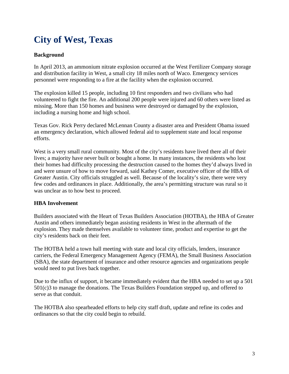### <span id="page-2-0"></span>**City of West, Texas**

#### **Background**

In April 2013, an ammonium nitrate explosion occurred at the West Fertilizer Company storage and distribution facility in West, a small city 18 miles north of Waco. Emergency services personnel were responding to a fire at the facility when the explosion occurred.

The explosion killed 15 people, including 10 first responders and two civilians who had volunteered to fight the fire. An additional 200 people were injured and 60 others were listed as missing. More than 150 homes and business were destroyed or damaged by the explosion, including a nursing home and high school.

Texas Gov. Rick Perry declared McLennan County a disaster area and President Obama issued an emergency declaration, which allowed federal aid to supplement state and local response efforts.

West is a very small rural community. Most of the city's residents have lived there all of their lives; a majority have never built or bought a home. In many instances, the residents who lost their homes had difficulty processing the destruction caused to the homes they'd always lived in and were unsure of how to move forward, said Kathey Comer, executive officer of the HBA of Greater Austin. City officials struggled as well. Because of the locality's size, there were very few codes and ordinances in place. Additionally, the area's permitting structure was rural so it was unclear as to how best to proceed.

#### **HBA Involvement**

Builders associated with the Heart of Texas Builders Association (HOTBA), the HBA of Greater Austin and others immediately began assisting residents in West in the aftermath of the explosion. They made themselves available to volunteer time, product and expertise to get the city's residents back on their feet.

The HOTBA held a town hall meeting with state and local city officials, lenders, insurance carriers, the Federal Emergency Management Agency (FEMA), the Small Business Association (SBA), the state department of insurance and other resource agencies and organizations people would need to put lives back together.

Due to the influx of support, it became immediately evident that the HBA needed to set up a 501 501(c)3 to manage the donations. The Texas Builders Foundation stepped up, and offered to serve as that conduit.

The HOTBA also spearheaded efforts to help city staff draft, update and refine its codes and ordinances so that the city could begin to rebuild.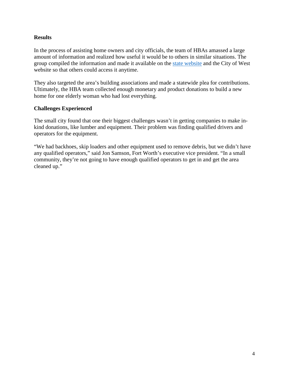#### **Results**

In the process of assisting home owners and city officials, the team of HBAs amassed a large amount of information and realized how useful it would be to others in similar situations. The group compiled the information and made it available on the [state website](http://www.texasbuilders.org/rebuilding-resources.html?searched=disaster&highlight=ajaxSearch_highlight+ajaxSearch_highlight1) and the City of West website so that others could access it anytime.

They also targeted the area's building associations and made a statewide plea for contributions. Ultimately, the HBA team collected enough monetary and product donations to build a new home for one elderly woman who had lost everything.

#### **Challenges Experienced**

The small city found that one their biggest challenges wasn't in getting companies to make inkind donations, like lumber and equipment. Their problem was finding qualified drivers and operators for the equipment.

"We had backhoes, skip loaders and other equipment used to remove debris, but we didn't have any qualified operators," said Jon Samson, Fort Worth's executive vice president. "In a small community, they're not going to have enough qualified operators to get in and get the area cleaned up."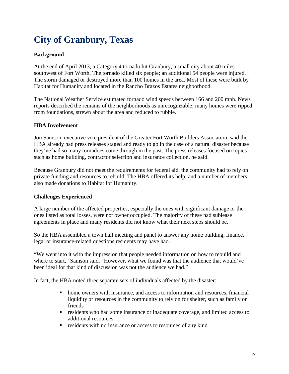### <span id="page-4-0"></span>**City of Granbury, Texas**

#### **Background**

At the end of April 2013, a Category 4 tornado hit Granbury, a small city about 40 miles southwest of Fort Worth. The tornado killed six people; an additional 54 people were injured. The storm damaged or destroyed more than 100 homes in the area. Most of these were built by Habitat for Humanity and located in the Rancho Brazos Estates neighborhood.

The National Weather Service estimated tornado wind speeds between 166 and 200 mph. News reports described the remains of the neighborhoods as unrecognizable; many homes were ripped from foundations, strewn about the area and reduced to rubble.

#### **HBA Involvement**

Jon Samson, executive vice president of the Greater Fort Worth Builders Association, said the HBA already had press releases staged and ready to go in the case of a natural disaster because they've had so many tornadoes come through in the past. The press releases focused on topics such as home building, contractor selection and insurance collection, he said.

Because Granbury did not meet the requirements for federal aid, the community had to rely on private funding and resources to rebuild. The HBA offered its help; and a number of members also made donations to Habitat for Humanity.

#### **Challenges Experienced**

A large number of the affected properties, especially the ones with significant damage or the ones listed as total losses, were not owner occupied. The majority of these had sublease agreements in place and many residents did not know what their next steps should be.

So the HBA assembled a town hall meeting and panel to answer any home building, finance, legal or insurance-related questions residents may have had.

"We went into it with the impression that people needed information on how to rebuild and where to start," Samson said. "However, what we found was that the audience that would've been ideal for that kind of discussion was not the audience we had."

In fact, the HBA noted three separate sets of individuals affected by the disaster:

- home owners with insurance, and access to information and resources, financial liquidity or resources in the community to rely on for shelter, such as family or friends
- residents who had some insurance or inadequate coverage, and limited access to additional resources
- residents with no insurance or access to resources of any kind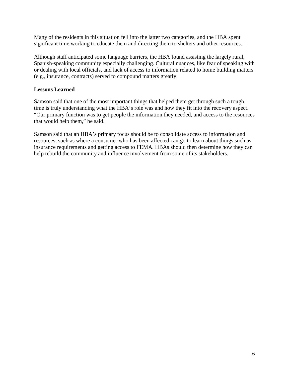Many of the residents in this situation fell into the latter two categories, and the HBA spent significant time working to educate them and directing them to shelters and other resources.

Although staff anticipated some language barriers, the HBA found assisting the largely rural, Spanish-speaking community especially challenging. Cultural nuances, like fear of speaking with or dealing with local officials, and lack of access to information related to home building matters (e.g., insurance, contracts) served to compound matters greatly.

#### **Lessons Learned**

Samson said that one of the most important things that helped them get through such a tough time is truly understanding what the HBA's role was and how they fit into the recovery aspect. "Our primary function was to get people the information they needed, and access to the resources that would help them," he said.

Samson said that an HBA's primary focus should be to consolidate access to information and resources, such as where a consumer who has been affected can go to learn about things such as insurance requirements and getting access to FEMA. HBAs should then determine how they can help rebuild the community and influence involvement from some of its stakeholders.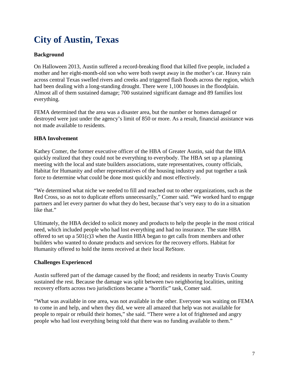### <span id="page-6-0"></span>**City of Austin, Texas**

#### **Background**

On Halloween 2013, Austin suffered a record-breaking flood that killed five people, included a mother and her eight-month-old son who were both swept away in the mother's car. Heavy rain across central Texas swelled rivers and creeks and triggered flash floods across the region, which had been dealing with a long-standing drought. There were 1,100 houses in the floodplain. Almost all of them sustained damage; 700 sustained significant damage and 89 families lost everything.

FEMA determined that the area was a disaster area, but the number or homes damaged or destroyed were just under the agency's limit of 850 or more. As a result, financial assistance was not made available to residents.

#### **HBA Involvement**

Kathey Comer, the former executive officer of the HBA of Greater Austin, said that the HBA quickly realized that they could not be everything to everybody. The HBA set up a planning meeting with the local and state builders associations, state representatives, county officials, Habitat for Humanity and other representatives of the housing industry and put together a task force to determine what could be done most quickly and most effectively.

"We determined what niche we needed to fill and reached out to other organizations, such as the Red Cross, so as not to duplicate efforts unnecessarily," Comer said. "We worked hard to engage partners and let every partner do what they do best, because that's very easy to do in a situation like that."

Ultimately, the HBA decided to solicit money and products to help the people in the most critical need, which included people who had lost everything and had no insurance. The state HBA offered to set up a 501(c)3 when the Austin HBA began to get calls from members and other builders who wanted to donate products and services for the recovery efforts. Habitat for Humanity offered to hold the items received at their local ReStore.

#### **Challenges Experienced**

Austin suffered part of the damage caused by the flood; and residents in nearby Travis County sustained the rest. Because the damage was split between two neighboring localities, uniting recovery efforts across two jurisdictions became a "horrific" task, Comer said.

"What was available in one area, was not available in the other. Everyone was waiting on FEMA to come in and help, and when they did, we were all amazed that help was not available for people to repair or rebuild their homes," she said. "There were a lot of frightened and angry people who had lost everything being told that there was no funding available to them."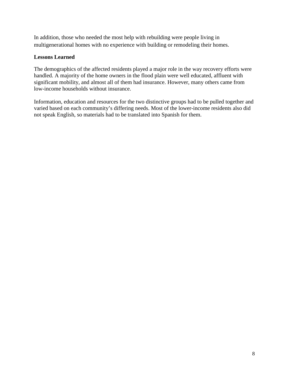In addition, those who needed the most help with rebuilding were people living in multigenerational homes with no experience with building or remodeling their homes.

#### **Lessons Learned**

The demographics of the affected residents played a major role in the way recovery efforts were handled. A majority of the home owners in the flood plain were well educated, affluent with significant mobility, and almost all of them had insurance. However, many others came from low-income households without insurance.

Information, education and resources for the two distinctive groups had to be pulled together and varied based on each community's differing needs. Most of the lower-income residents also did not speak English, so materials had to be translated into Spanish for them.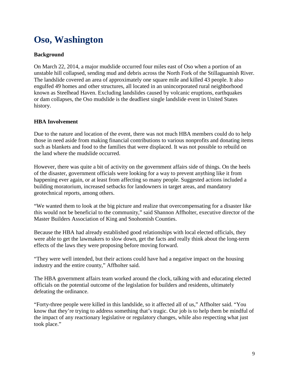### <span id="page-8-0"></span>**Oso, Washington**

#### **Background**

On March 22, 2014, a major mudslide occurred four miles east of Oso when a portion of an unstable hill collapsed, sending mud and debris across the North Fork of the Stillaguamish River. The landslide covered an area of approximately one square mile and killed 43 people. It also engulfed 49 homes and other structures, all located in an unincorporated rural neighborhood known as Steelhead Haven. Excluding landslides caused by [volcanic eruptions,](http://en.wikipedia.org/wiki/Volcano) earthquakes or [dam collapses,](http://en.wikipedia.org/wiki/Dam_failure) the Oso mudslide is the deadliest single landslide event in United States history.

#### **HBA Involvement**

Due to the nature and location of the event, there was not much HBA members could do to help those in need aside from making financial contributions to various nonprofits and donating items such as blankets and food to the families that were displaced. It was not possible to rebuild on the land where the mudslide occurred.

However, there was quite a bit of activity on the government affairs side of things. On the heels of the disaster, government officials were looking for a way to prevent anything like it from happening ever again, or at least from affecting so many people. Suggested actions included a building moratorium, increased setbacks for landowners in target areas, and mandatory geotechnical reports, among others.

"We wanted them to look at the big picture and realize that overcompensating for a disaster like this would not be beneficial to the community," said Shannon Affholter, executive director of the Master Builders Association of King and Snohomish Counties.

Because the HBA had already established good relationships with local elected officials, they were able to get the lawmakers to slow down, get the facts and really think about the long-term effects of the laws they were proposing before moving forward.

"They were well intended, but their actions could have had a negative impact on the housing industry and the entire county," Affholter said.

The HBA government affairs team worked around the clock, talking with and educating elected officials on the potential outcome of the legislation for builders and residents, ultimately defeating the ordinance.

"Forty-three people were killed in this landslide, so it affected all of us," Affholter said. "You know that they're trying to address something that's tragic. Our job is to help them be mindful of the impact of any reactionary legislative or regulatory changes, while also respecting what just took place."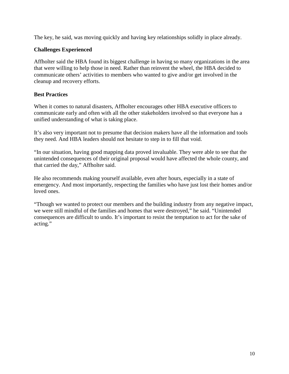The key, he said, was moving quickly and having key relationships solidly in place already.

#### **Challenges Experienced**

Affholter said the HBA found its biggest challenge in having so many organizations in the area that were willing to help those in need. Rather than reinvent the wheel, the HBA decided to communicate others' activities to members who wanted to give and/or get involved in the cleanup and recovery efforts.

#### **Best Practices**

When it comes to natural disasters, Affholter encourages other HBA executive officers to communicate early and often with all the other stakeholders involved so that everyone has a unified understanding of what is taking place.

It's also very important not to presume that decision makers have all the information and tools they need. And HBA leaders should not hesitate to step in to fill that void.

"In our situation, having good mapping data proved invaluable. They were able to see that the unintended consequences of their original proposal would have affected the whole county, and that carried the day," Affholter said.

He also recommends making yourself available, even after hours, especially in a state of emergency. And most importantly, respecting the families who have just lost their homes and/or loved ones.

"Though we wanted to protect our members and the building industry from any negative impact, we were still mindful of the families and homes that were destroyed," he said. "Unintended consequences are difficult to undo. It's important to resist the temptation to act for the sake of acting."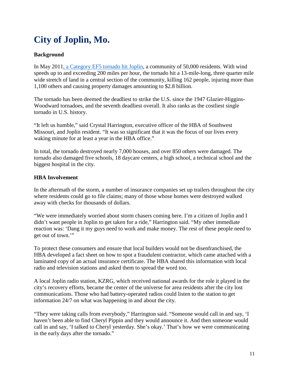## <span id="page-10-0"></span>**City of Joplin, Mo.**

#### **Background**

In May 201[1, a Category EF5 tornado hit Joplin,](http://www.nahb.org/showpage_details.aspx?showPageID=29995) a community of 50,000 residents. With wind speeds up to and exceeding 200 miles per hour, the tornado hit a 13-mile-long, three quarter mile wide stretch of land in a central section of the community, killing 162 people, injuring more than 1,100 others and causing property damages amounting to \$2.8 billion.

The tornado has been deemed the deadliest to strike the U.S. since the 1947 Glazier-Higgins-Woodward tornadoes, and the seventh deadliest overall. It also ranks as the costliest single tornado in U.S. history.

"It left us humble," said Crystal Harrington, executive officer of the HBA of Southwest Missouri, and Joplin resident. "It was so significant that it was the focus of our lives every waking minute for at least a year in the HBA office."

In total, the tornado destroyed nearly 7,000 houses, and over 850 others were damaged. The tornado also damaged five schools, 18 daycare centers, a high school, a technical school and the biggest hospital in the city.

#### **HBA Involvement**

In the aftermath of the storm, a number of insurance companies set up trailers throughout the city where residents could go to file claims; many of those whose homes were destroyed walked away with checks for thousands of dollars.

"We were immediately worried about storm chasers coming here. I'm a citizen of Joplin and I didn't want people in Joplin to get taken for a ride," Harrington said. "My other immediate reaction was: 'Dang it my guys need to work and make money. The rest of these people need to get out of town.'"

To protect these consumers and ensure that local builders would not be disenfranchised, the HBA developed a fact sheet on how to spot a fraudulent contractor, which came attached with a laminated copy of an actual insurance certificate. The HBA shared this information with local radio and television stations and asked them to spread the word too.

A local Joplin radio station, KZRG, which received national awards for the role it played in the city's recovery efforts, became the center of the universe for area residents after the city lost communications. Those who had battery-operated radios could listen to the station to get information 24/7 on what was happening in and about the city.

"They were taking calls from everybody," Harrington said. "Someone would call in and say, 'I haven't been able to find Cheryl Pippin and they would announce it. And then someone would call in and say, 'I talked to Cheryl yesterday. She's okay.' That's how we were communicating in the early days after the tornado."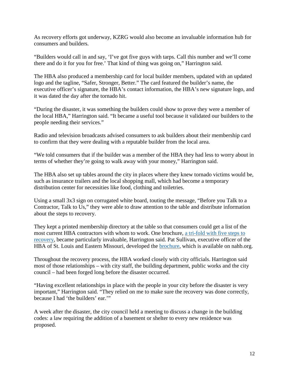As recovery efforts got underway, KZRG would also become an invaluable information hub for consumers and builders.

"Builders would call in and say, 'I've got five guys with tarps. Call this number and we'll come there and do it for you for free.' That kind of thing was going on," Harrington said.

The HBA also produced a membership card for local builder members, updated with an updated logo and the tagline, "Safer, Stronger, Better." The card featured the builder's name, the executive officer's signature, the HBA's contact information, the HBA's new signature logo, and it was dated the day after the tornado hit.

"During the disaster, it was something the builders could show to prove they were a member of the local HBA," Harrington said. "It became a useful tool because it validated our builders to the people needing their services."

Radio and television broadcasts advised consumers to ask builders about their membership card to confirm that they were dealing with a reputable builder from the local area.

"We told consumers that if the builder was a member of the HBA they had less to worry about in terms of whether they're going to walk away with your money," Harrington said.

The HBA also set up tables around the city in places where they knew tornado victims would be, such as insurance trailers and the local shopping mall, which had become a temporary distribution center for necessities like food, clothing and toiletries.

Using a small 3x3 sign on corrugated white board, touting the message, "Before you Talk to a Contractor, Talk to Us," they were able to draw attention to the table and distribute information about the steps to recovery.

They kept a printed membership directory at the table so that consumers could get a list of the most current HBA contractors with whom to work. One brochure, [a tri-fold with five steps to](http://www.nahb.org/fileUpload_details.aspx?contentID=240398)  [recovery,](http://www.nahb.org/fileUpload_details.aspx?contentID=240398) became particularly invaluable, Harrington said. Pat Sullivan, executive officer of the HBA of St. Louis and Eastern Missouri, developed the [brochure,](http://www.nahb.org/fileUpload_details.aspx?contentID=240399) which is available on nahb.org.

Throughout the recovery process, the HBA worked closely with city officials. Harrington said most of those relationships – with city staff, the building department, public works and the city council – had been forged long before the disaster occurred.

"Having excellent relationships in place with the people in your city before the disaster is very important," Harrington said. "They relied on me to make sure the recovery was done correctly, because I had 'the builders' ear.'"

A week after the disaster, the city council held a meeting to discuss a change in the building codes: a law requiring the addition of a basement or shelter to every new residence was proposed.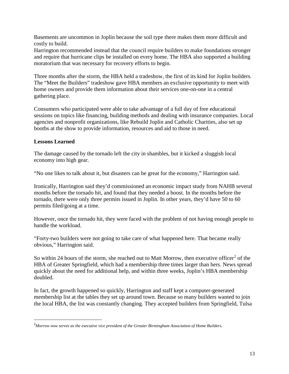Basements are uncommon in Joplin because the soil type there makes them more difficult and costly to build.

Harrington recommended instead that the council require builders to make foundations stronger and require that hurricane clips be installed on every home. The HBA also supported a building moratorium that was necessary for recovery efforts to begin.

Three months after the storm, the HBA held a tradeshow, the first of its kind for Joplin builders. The "Meet the Builders" tradeshow gave HBA members an exclusive opportunity to meet with home owners and provide them information about their services one-on-one in a central gathering place.

Consumers who participated were able to take advantage of a full day of free educational sessions on topics like financing, building methods and dealing with insurance companies. Local agencies and nonprofit organizations, like Rebuild Joplin and Catholic Charities, also set up booths at the show to provide information, resources and aid to those in need.

#### **Lessons Learned**

 $\overline{\phantom{a}}$ 

The damage caused by the tornado left the city in shambles, but it kicked a sluggish local economy into high gear.

"No one likes to talk about it, but disasters can be great for the economy," Harrington said.

Ironically, Harrington said they'd commissioned an economic impact study from NAHB several months before the tornado hit, and found that they needed a boost. In the months before the tornado, there were only three permits issued in Joplin. In other years, they'd have 50 to 60 permits filed/going at a time.

However, once the tornado hit, they were faced with the problem of not having enough people to handle the workload.

"Forty-two builders were not going to take care of what happened here. That became really obvious," Harrington said.

So within [2](#page-12-0)4 hours of the storm, she reached out to Matt Morrow, then executive officer<sup>2</sup> of the HBA of Greater Springfield, which had a membership three times larger than hers. News spread quickly about the need for additional help, and within three weeks, Joplin's HBA membership doubled.

In fact, the growth happened so quickly, Harrington and staff kept a computer-generated membership list at the tables they set up around town. Because so many builders wanted to join the local HBA, the list was constantly changing. They accepted builders from Springfield, Tulsa

<span id="page-12-0"></span><sup>2</sup> *Morrow now serves as the executive vice president of the Greater Birmingham Association of Home Builders.*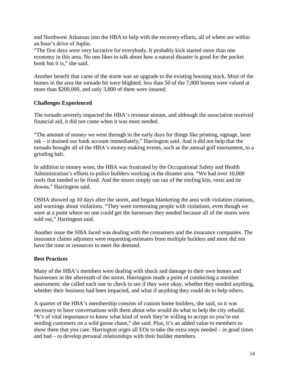and Northwest Arkansas into the HBA to help with the recovery efforts, all of where are within an hour's drive of Joplin.

"The first days were very lucrative for everybody. It probably kick started more than one economy in this area. No one likes to talk about how a natural disaster is good for the pocket book but it is," she said.

Another benefit that came of the storm was an upgrade to the existing housing stock. Most of the homes in the area the tornado hit were blighted; less than 50 of the 7,000 homes were valued at more than \$200,000, and only 3,800 of them were insured.

#### **Challenges Experienced**

The tornado severely impacted the HBA's revenue stream, and although the association received financial aid, it did not come when it was most needed.

"The amount of money we went through in the early days for things like printing, signage, laser ink – it drained our bank account immediately," Harrington said. And it did not help that the tornado brought all of the HBA's money-making events, such as the annual golf tournament, to a grinding halt.

In addition to money woes, the HBA was frustrated by the Occupational Safety and Health Administration's efforts to police builders working in the disaster area. "We had over 10,000 roofs that needed to be fixed. And the stores simply ran out of the roofing kits, vests and tie downs," Harrington said.

OSHA showed up 10 days after the storm, and began blanketing the area with violation citations, and warnings about violations. "They were tormenting people with violations, even though we were at a point where no one could get the harnesses they needed because all of the stores were sold out," Harrington said.

Another issue the HBA faced was dealing with the consumers and the insurance companies. The insurance claims adjusters were requesting estimates from multiple builders and most did not have the time or resources to meet the demand.

#### **Best Practices**

Many of the HBA's members were dealing with shock and damage to their own homes and businesses in the aftermath of the storm. Harrington made a point of conducting a member assessment; she called each one to check to see if they were okay, whether they needed anything, whether their business had been impacted, and what if anything they could do to help others.

A quarter of the HBA's membership consists of custom home builders, she said, so it was necessary to have conversations with them about who would do what to help the city rebuild. "It's of vital importance to know what kind of work they're willing to accept so you're not sending customers on a wild goose chase," she said. Plus, it's an added value to members to show them that you care. Harrington urges all EOs to take the extra steps needed – in good times and bad – to develop personal relationships with their builder members.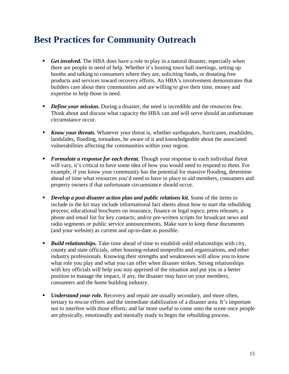### <span id="page-14-0"></span>**Best Practices for Community Outreach**

- **Get involved.** The HBA does have a role to play in a natural disaster, especially when there are people in need of help. Whether it's hosting town hall meetings, setting up booths and talking to consumers where they are, soliciting funds, or donating free products and services toward recovery efforts. An HBA's involvement demonstrates that builders care about their communities and are willing to give their time, money and expertise to help those in need.
- **•** *Define your mission.* During a disaster, the need is incredible and the resources few. Think about and discuss what capacity the HBA can and will serve should an unfortunate circumstance occur.
- **Know your threats.** Whatever your threat is, whether earthquakes, hurricanes, mudslides, landslides, flooding, tornadoes, be aware of it and knowledgeable about the associated vulnerabilities affecting the communities within your region.
- **Formulate** a *response for each threat.* Though your response to each individual threat will vary, it's critical to have some idea of how you would need to respond to them. For example, if you know your community has the potential for massive flooding, determine ahead of time what resources you'd need to have in place to aid members, consumers and property owners if that unfortunate circumstance should occur.
- *Develop a post-disaster action plan and public relations kit.* Some of the items to include in the kit may include informational fact sheets about how to start the rebuilding process; educational brochures on insurance, finance or legal topics; press releases; a phone and email list for key contacts; and/or pre-written scripts for broadcast news and radio segments or public service announcements. Make sure to keep these documents (and your website) as current and up-to-date as possible.
- *Build relationships.* Take time ahead of time to establish solid relationships with city, county and state officials, other housing-related nonprofits and organizations, and other industry professionals. Knowing their strengths and weaknesses will allow you to know what role you play and what you can offer when disaster strikes. Strong relationships with key officials will help you stay apprised of the situation and put you in a better position to manage the impact, if any, the disaster may have on your members, consumers and the home building industry.
- *Understand your role.* Recovery and repair are usually secondary, and more often, tertiary to rescue efforts and the immediate stabilization of a disaster area. It's important not to interfere with those efforts; and far more useful to come onto the scene once people are physically, emotionally and mentally ready to begin the rebuilding process.